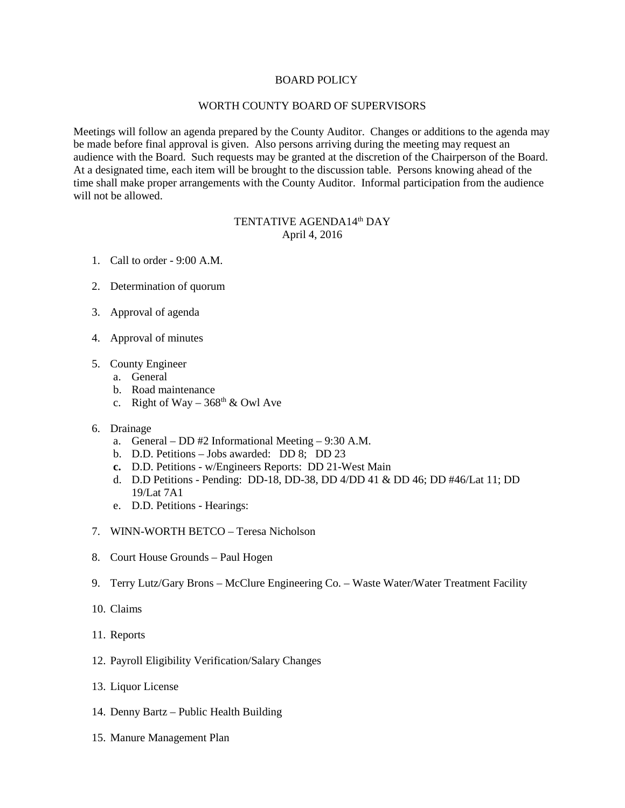## BOARD POLICY

## WORTH COUNTY BOARD OF SUPERVISORS

Meetings will follow an agenda prepared by the County Auditor. Changes or additions to the agenda may be made before final approval is given. Also persons arriving during the meeting may request an audience with the Board. Such requests may be granted at the discretion of the Chairperson of the Board. At a designated time, each item will be brought to the discussion table. Persons knowing ahead of the time shall make proper arrangements with the County Auditor. Informal participation from the audience will not be allowed.

## TENTATIVE AGENDA14<sup>th</sup> DAY April 4, 2016

- 1. Call to order 9:00 A.M.
- 2. Determination of quorum
- 3. Approval of agenda
- 4. Approval of minutes
- 5. County Engineer
	- a. General
	- b. Road maintenance
	- c. Right of Way  $368^{\text{th}}$  & Owl Ave
- 6. Drainage
	- a. General DD #2 Informational Meeting 9:30 A.M.
	- b. D.D. Petitions Jobs awarded: DD 8; DD 23
	- **c.** D.D. Petitions w/Engineers Reports: DD 21-West Main
	- d. D.D Petitions Pending: DD-18, DD-38, DD 4/DD 41 & DD 46; DD #46/Lat 11; DD 19/Lat 7A1
	- e. D.D. Petitions Hearings:
- 7. WINN-WORTH BETCO Teresa Nicholson
- 8. Court House Grounds Paul Hogen
- 9. Terry Lutz/Gary Brons McClure Engineering Co. Waste Water/Water Treatment Facility
- 10. Claims
- 11. Reports
- 12. Payroll Eligibility Verification/Salary Changes
- 13. Liquor License
- 14. Denny Bartz Public Health Building
- 15. Manure Management Plan